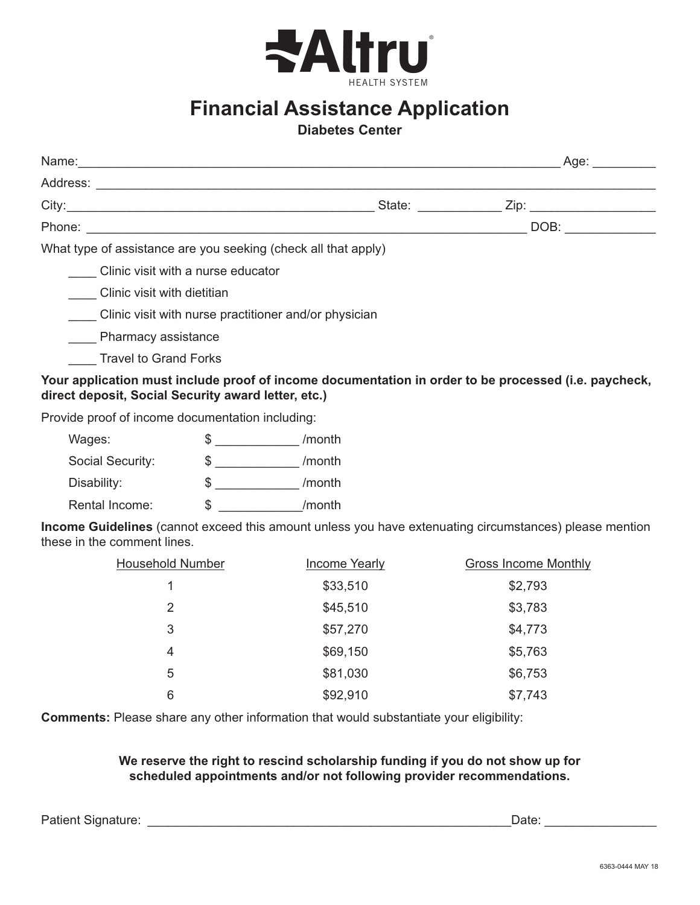

## **Financial Assistance Application**

## **Diabetes Center**

|                                                                |                                                                                                                                                                                                                                | Age: and the same of the same of the same of the same of the same of the same of the same of the same of the same of the same of the same of the same of the same of the same of the same of the same of the same of the same |  |
|----------------------------------------------------------------|--------------------------------------------------------------------------------------------------------------------------------------------------------------------------------------------------------------------------------|-------------------------------------------------------------------------------------------------------------------------------------------------------------------------------------------------------------------------------|--|
| Address:                                                       |                                                                                                                                                                                                                                |                                                                                                                                                                                                                               |  |
|                                                                | State: and the state of the state of the state of the state of the state of the state of the state of the state of the state of the state of the state of the state of the state of the state of the state of the state of the |                                                                                                                                                                                                                               |  |
|                                                                |                                                                                                                                                                                                                                | DOB:                                                                                                                                                                                                                          |  |
| What type of assistance are you seeking (check all that apply) |                                                                                                                                                                                                                                |                                                                                                                                                                                                                               |  |
| Clinic visit with a nurse educator                             |                                                                                                                                                                                                                                |                                                                                                                                                                                                                               |  |
| Clinic visit with dietitian                                    |                                                                                                                                                                                                                                |                                                                                                                                                                                                                               |  |
| Clinic visit with nurse practitioner and/or physician          |                                                                                                                                                                                                                                |                                                                                                                                                                                                                               |  |

**\_\_\_\_** Pharmacy assistance

\_\_\_\_ Travel to Grand Forks

**Your application must include proof of income documentation in order to be processed (i.e. paycheck, direct deposit, Social Security award letter, etc.)**

Provide proof of income documentation including:

| Wages:           |   | /month |
|------------------|---|--------|
| Social Security: | S | /month |
| Disability:      | S | /month |
| Rental Income:   | S | /month |

**Income Guidelines** (cannot exceed this amount unless you have extenuating circumstances) please mention these in the comment lines.

| <b>Household Number</b> | <b>Income Yearly</b> | <b>Gross Income Monthly</b> |
|-------------------------|----------------------|-----------------------------|
| 1                       | \$33,510             | \$2,793                     |
| 2                       | \$45,510             | \$3,783                     |
| 3                       | \$57,270             | \$4,773                     |
| $\overline{4}$          | \$69,150             | \$5,763                     |
| 5                       | \$81,030             | \$6,753                     |
| 6                       | \$92,910             | \$7,743                     |

**Comments:** Please share any other information that would substantiate your eligibility:

## **We reserve the right to rescind scholarship funding if you do not show up for scheduled appointments and/or not following provider recommendations.**